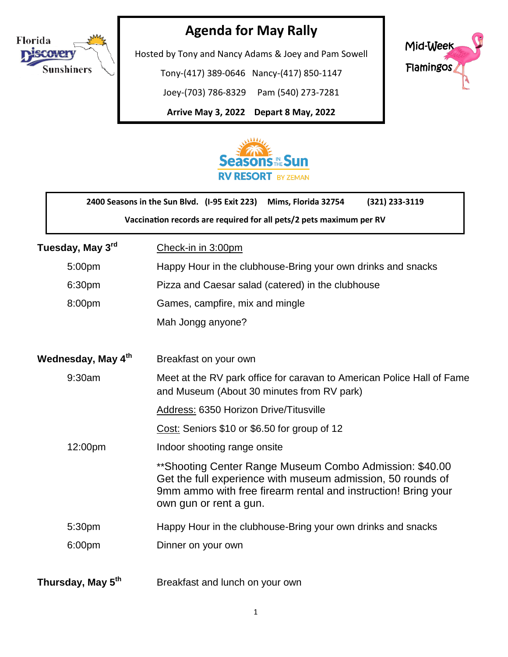

## **Agenda for May Rally**

Hosted by Tony and Nancy Adams & Joey and Pam Sowell

Tony-(417) 389-0646 Nancy-(417) 850-1147

Joey-(703) 786-8329 Pam (540) 273-7281

**Arrive May 3, 2022 Depart 8 May, 2022**

֬֕֜֡





|                                                                     | 2400 Seasons in the Sun Blvd. (I-95 Exit 223)<br>Mims, Florida 32754<br>(321) 233-3119                                                                                                                             |
|---------------------------------------------------------------------|--------------------------------------------------------------------------------------------------------------------------------------------------------------------------------------------------------------------|
| Vaccination records are required for all pets/2 pets maximum per RV |                                                                                                                                                                                                                    |
| Tuesday, May 3 <sup>rd</sup>                                        | Check-in in 3:00pm                                                                                                                                                                                                 |
| 5:00pm                                                              | Happy Hour in the clubhouse-Bring your own drinks and snacks                                                                                                                                                       |
| 6:30pm                                                              | Pizza and Caesar salad (catered) in the clubhouse                                                                                                                                                                  |
| 8:00pm                                                              | Games, campfire, mix and mingle                                                                                                                                                                                    |
|                                                                     | Mah Jongg anyone?                                                                                                                                                                                                  |
| Wednesday, May 4th                                                  | Breakfast on your own                                                                                                                                                                                              |
| 9:30am                                                              | Meet at the RV park office for caravan to American Police Hall of Fame<br>and Museum (About 30 minutes from RV park)                                                                                               |
|                                                                     | Address: 6350 Horizon Drive/Titusville                                                                                                                                                                             |
|                                                                     | Cost: Seniors \$10 or \$6.50 for group of 12                                                                                                                                                                       |
| 12:00pm                                                             | Indoor shooting range onsite                                                                                                                                                                                       |
|                                                                     | ** Shooting Center Range Museum Combo Admission: \$40.00<br>Get the full experience with museum admission, 50 rounds of<br>9mm ammo with free firearm rental and instruction! Bring your<br>own gun or rent a gun. |
| 5:30pm                                                              | Happy Hour in the clubhouse-Bring your own drinks and snacks                                                                                                                                                       |
| 6:00pm                                                              | Dinner on your own                                                                                                                                                                                                 |
| Thursday, May 5 <sup>th</sup>                                       | Breakfast and lunch on your own                                                                                                                                                                                    |